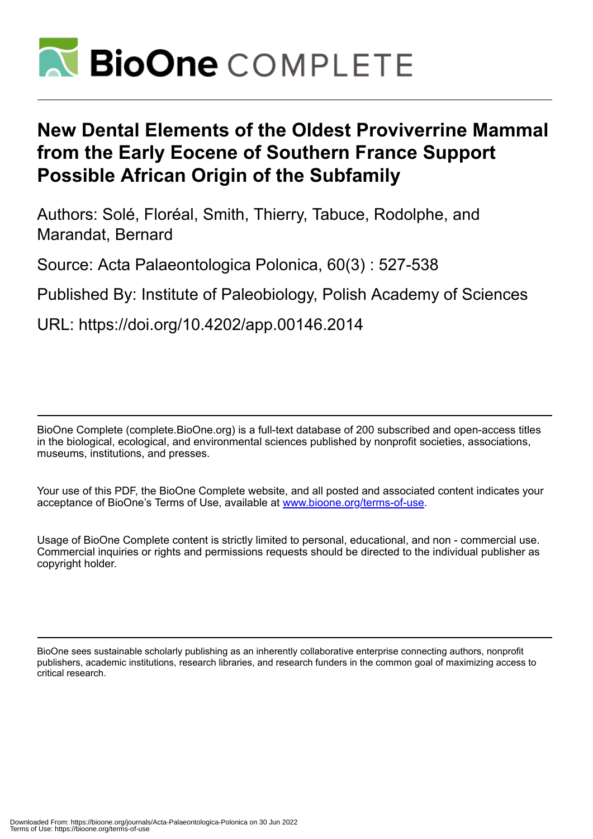

# **New Dental Elements of the Oldest Proviverrine Mammal from the Early Eocene of Southern France Support Possible African Origin of the Subfamily**

Authors: Solé, Floréal, Smith, Thierry, Tabuce, Rodolphe, and Marandat, Bernard

Source: Acta Palaeontologica Polonica, 60(3) : 527-538

Published By: Institute of Paleobiology, Polish Academy of Sciences

URL: https://doi.org/10.4202/app.00146.2014

BioOne Complete (complete.BioOne.org) is a full-text database of 200 subscribed and open-access titles in the biological, ecological, and environmental sciences published by nonprofit societies, associations, museums, institutions, and presses.

Your use of this PDF, the BioOne Complete website, and all posted and associated content indicates your acceptance of BioOne's Terms of Use, available at www.bioone.org/terms-of-use.

Usage of BioOne Complete content is strictly limited to personal, educational, and non - commercial use. Commercial inquiries or rights and permissions requests should be directed to the individual publisher as copyright holder.

BioOne sees sustainable scholarly publishing as an inherently collaborative enterprise connecting authors, nonprofit publishers, academic institutions, research libraries, and research funders in the common goal of maximizing access to critical research.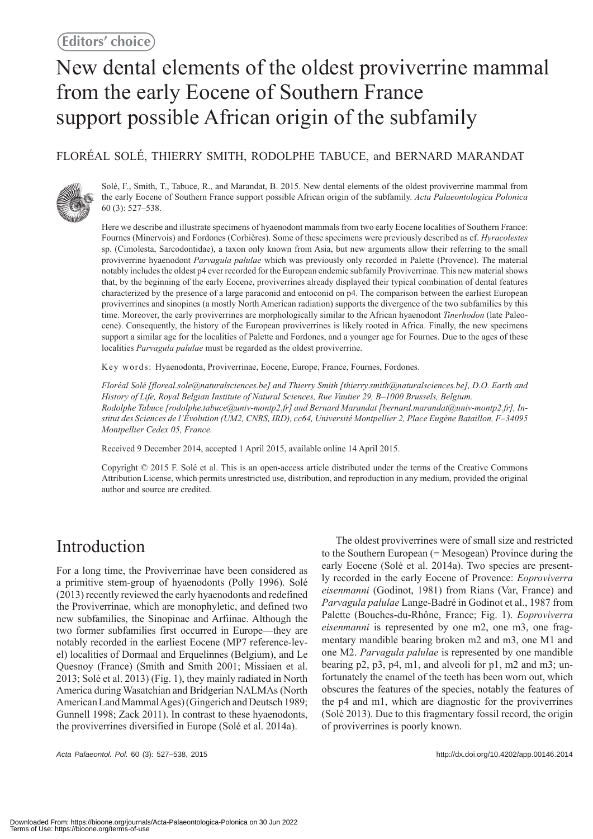# New dental elements of the oldest proviverrine mammal from the early Eocene of Southern France support possible African origin of the subfamily

### FLORÉAL SOLÉ, THIERRY SMITH, RODOLPHE TABUCE, and BERNARD MARANDAT



Solé, F., Smith, T., Tabuce, R., and Marandat, B. 2015. New dental elements of the oldest proviverrine mammal from the early Eocene of Southern France support possible African origin of the subfamily. *Acta Palaeontologica Polonica*  60 (3): 527–538.

Here we describe and illustrate specimens of hyaenodont mammals from two early Eocene localities of Southern France: Fournes (Minervois) and Fordones (Corbières). Some of these specimens were previously described as cf. *Hyracolestes*  sp. (Cimolesta, Sarcodontidae), a taxon only known from Asia, but new arguments allow their referring to the small proviverrine hyaenodont *Parvagula palulae* which was previously only recorded in Palette (Provence). The material notably includes the oldest p4 ever recorded for the European endemic subfamily Proviverrinae. This new material shows that, by the beginning of the early Eocene, proviverrines already displayed their typical combination of dental features characterized by the presence of a large paraconid and entoconid on p4. The comparison between the earliest European proviverrines and sinopines (a mostly North American radiation) supports the divergence of the two subfamilies by this time. Moreover, the early proviverrines are morphologically similar to the African hyaenodont *Tinerhodon* (late Paleocene). Consequently, the history of the European proviverrines is likely rooted in Africa. Finally, the new specimens support a similar age for the localities of Palette and Fordones, and a younger age for Fournes. Due to the ages of these localities *Parvagula palulae* must be regarded as the oldest proviverrine.

Key words: Hyaenodonta, Proviverrinae, Eocene, Europe, France, Fournes, Fordones.

*Floréal Solé [floreal.sole@naturalsciences.be] and Thierry Smith [thierry.smith@naturalsciences.be], D.O. Earth and History of Life, Royal Belgian Institute of Natural Sciences, Rue Vautier 29, B–1000 Brussels, Belgium. Rodolphe Tabuce [rodolphe.tabuce@univ-montp2.fr] and Bernard Marandat [bernard.marandat@univ-montp2.fr], Institut des Sciences de l'Évolution (UM2, CNRS, IRD), cc64, Université Montpellier 2, Place Eugène Bataillon, F–34095 Montpellier Cedex 05, France.*

Received 9 December 2014, accepted 1 April 2015, available online 14 April 2015.

Copyright © 2015 F. Solé et al. This is an open-access article distributed under the terms of the Creative Commons Attribution License, which permits unrestricted use, distribution, and reproduction in any medium, provided the original author and source are credited.

# Introduction

For a long time, the Proviverrinae have been considered as a primitive stem-group of hyaenodonts (Polly 1996). Solé (2013) recently reviewed the early hyaenodonts and redefined the Proviverrinae, which are monophyletic, and defined two new subfamilies, the Sinopinae and Arfiinae. Although the two former subfamilies first occurred in Europe—they are notably recorded in the earliest Eocene (MP7 reference-level) localities of Dormaal and Erquelinnes (Belgium), and Le Quesnoy (France) (Smith and Smith 2001; Missiaen et al. 2013; Solé et al. 2013) (Fig. 1), they mainly radiated in North America during Wasatchian and Bridgerian NALMAs (North American Land Mammal Ages) (Gingerich and Deutsch 1989; Gunnell 1998; Zack 2011). In contrast to these hyaenodonts, the proviverrines diversified in Europe (Solé et al. 2014a).

*Acta Palaeontol. Pol.* 60 (3): 527–538, 2015 http://dx.doi.org/10.4202/app.00146.2014

The oldest proviverrines were of small size and restricted to the Southern European (= Mesogean) Province during the early Eocene (Solé et al. 2014a). Two species are presently recorded in the early Eocene of Provence: *Eoproviverra eisenmanni* (Godinot, 1981) from Rians (Var, France) and *Parvagula palulae* Lange-Badré in Godinot et al., 1987 from Palette (Bouches-du-Rhône, France; Fig. 1). *Eoproviverra eisenmanni* is represented by one m2, one m3, one fragmentary mandible bearing broken m2 and m3, one M1 and one M2. *Parvagula palulae* is represented by one mandible bearing p2, p3, p4, m1, and alveoli for p1, m2 and m3; unfortunately the enamel of the teeth has been worn out, which obscures the features of the species, notably the features of the p4 and m1, which are diagnostic for the proviverrines (Solé 2013). Due to this fragmentary fossil record, the origin of proviverrines is poorly known.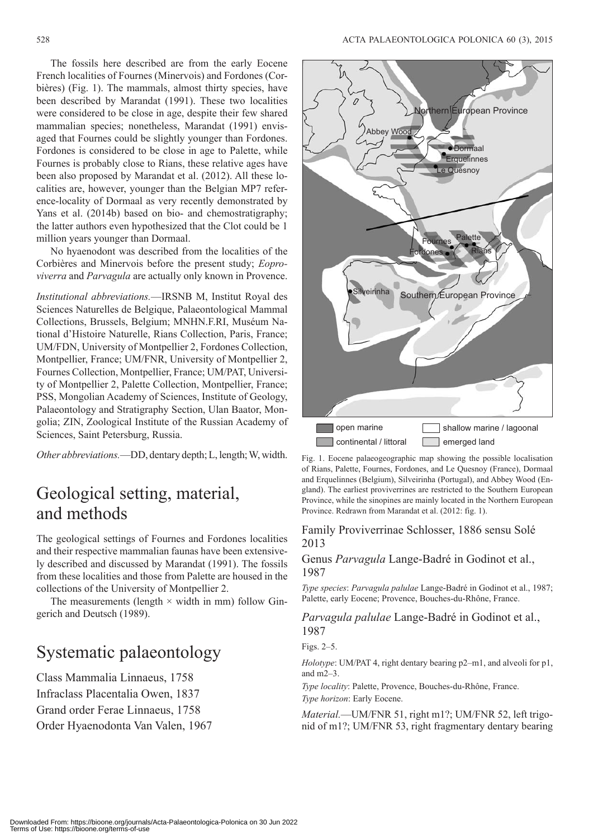The fossils here described are from the early Eocene French localities of Fournes (Minervois) and Fordones (Corbières) (Fig. 1). The mammals, almost thirty species, have been described by Marandat (1991). These two localities were considered to be close in age, despite their few shared mammalian species; nonetheless, Marandat (1991) envisaged that Fournes could be slightly younger than Fordones. Fordones is considered to be close in age to Palette, while Fournes is probably close to Rians, these relative ages have been also proposed by Marandat et al. (2012). All these localities are, however, younger than the Belgian MP7 reference-locality of Dormaal as very recently demonstrated by Yans et al. (2014b) based on bio- and chemostratigraphy; the latter authors even hypothesized that the Clot could be 1 million years younger than Dormaal.

No hyaenodont was described from the localities of the Corbières and Minervois before the present study; *Eoproviverra* and *Parvagula* are actually only known in Provence.

*Institutional abbreviations.*—IRSNB M, Institut Royal des Sciences Naturelles de Belgique, Palaeontological Mammal Collections, Brussels, Belgium; MNHN.F.RI, Muséum National d'Histoire Naturelle, Rians Collection, Paris, France; UM/FDN, University of Montpellier 2, Fordones Collection, Montpellier, France; UM/FNR, University of Montpellier 2, Fournes Collection, Montpellier, France; UM/PAT, University of Montpellier 2, Palette Collection, Montpellier, France; PSS, Mongolian Academy of Sciences, Institute of Geology, Palaeontology and Stratigraphy Section, Ulan Baator, Mongolia; ZIN, Zoological Institute of the Russian Academy of Sciences, Saint Petersburg, Russia.

*Other abbreviations.*—DD, dentary depth; L, length; W, width.

# Geological setting, material, and methods

The geological settings of Fournes and Fordones localities and their respective mammalian faunas have been extensively described and discussed by Marandat (1991). The fossils from these localities and those from Palette are housed in the collections of the University of Montpellier 2.

The measurements (length  $\times$  width in mm) follow Gingerich and Deutsch (1989).

# Systematic palaeontology

Class Mammalia Linnaeus, 1758 Infraclass Placentalia Owen, 1837 Grand order Ferae Linnaeus, 1758 Order Hyaenodonta Van Valen, 1967



Fig. 1. Eocene palaeogeographic map showing the possible localisation of Rians, Palette, Fournes, Fordones, and Le Quesnoy (France), Dormaal and Erquelinnes (Belgium), Silveirinha (Portugal), and Abbey Wood (England). The earliest proviverrines are restricted to the Southern European Province, while the sinopines are mainly located in the Northern European Province. Redrawn from Marandat et al. (2012: fig. 1).

#### Family Proviverrinae Schlosser, 1886 sensu Solé 2013

#### Genus *Parvagula* Lange-Badré in Godinot et al., 1987

*Type species*: *Parvagula palulae* Lange-Badré in Godinot et al., 1987; Palette, early Eocene; Provence, Bouches-du-Rhône, France.

*Parvagula palulae* Lange-Badré in Godinot et al., 1987

Figs. 2–5.

*Holotype*: UM/PAT 4, right dentary bearing p2–m1, and alveoli for p1. and m2–3.

*Type locality*: Palette, Provence, Bouches-du-Rhône, France. *Type horizon*: Early Eocene.

*Material.*—UM/FNR 51, right m1?; UM/FNR 52, left trigonid of m1?; UM/FNR 53, right fragmentary dentary bearing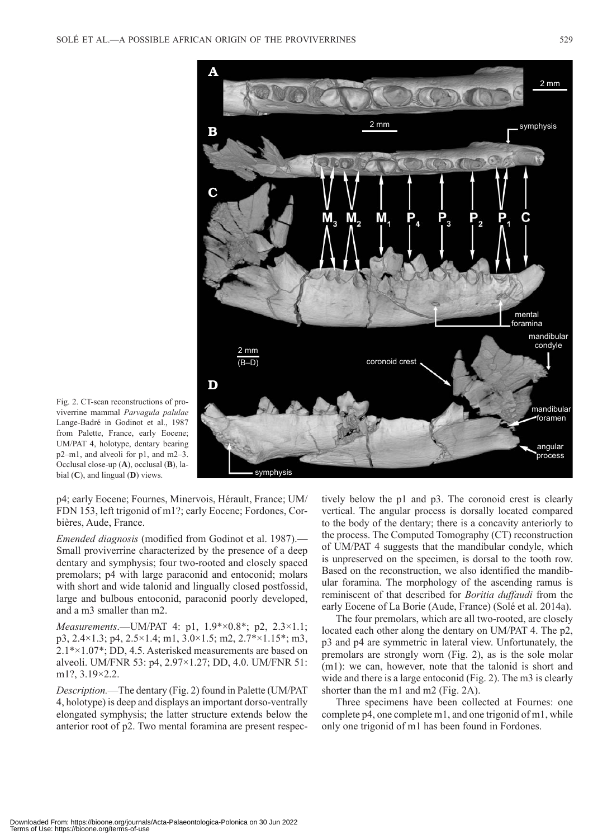

Fig. 2. CT-scan reconstructions of proviverrine mammal *Parvagula palulae*  Lange-Badré in Godinot et al., 1987 from Palette, France, early Eocene; UM/PAT 4, holotype, dentary bearing p2–m1, and alveoli for p1, and m2–3. Occlusal close-up (**A**), occlusal (**B**), labial (**C**), and lingual (**D**) views.

p4; early Eocene; Fournes, Minervois, Hérault, France; UM/ FDN 153, left trigonid of m1?; early Eocene; Fordones, Corbières, Aude, France.

*Emended diagnosis* (modified from Godinot et al. 1987).— Small proviverrine characterized by the presence of a deep dentary and symphysis; four two-rooted and closely spaced premolars; p4 with large paraconid and entoconid; molars with short and wide talonid and lingually closed postfossid, large and bulbous entoconid, paraconid poorly developed, and a m3 smaller than m2.

*Measurements*.—UM/PAT 4: p1, 1.9\*×0.8\*; p2, 2.3×1.1; p3, 2.4×1.3; p4, 2.5×1.4; m1, 3.0×1.5; m2, 2.7\*×1.15\*; m3, 2.1\*×1.07\*; DD, 4.5. Asterisked measurements are based on alveoli. UM/FNR 53: p4, 2.97×1.27; DD, 4.0. UM/FNR 51: m1?, 3.19×2.2.

*Description.*—The dentary (Fig. 2) found in Palette (UM/PAT 4, holotype) is deep and displays an important dorso -ventrally elongated symphysis; the latter structure extends below the anterior root of p2. Two mental foramina are present respectively below the p1 and p3. The coronoid crest is clearly vertical. The angular process is dorsally located compared to the body of the dentary; there is a concavity anteriorly to the process. The Computed Tomography (CT) reconstruction of UM/PAT 4 suggests that the mandibular condyle, which is unpreserved on the specimen, is dorsal to the tooth row. Based on the reconstruction, we also identified the mandibular foramina. The morphology of the ascending ramus is reminiscent of that described for *Boritia duffaudi* from the early Eocene of La Borie (Aude, France) (Solé et al. 2014a).

The four premolars, which are all two-rooted, are closely located each other along the dentary on UM/PAT 4. The p2, p3 and p4 are symmetric in lateral view. Unfortunately, the premolars are strongly worn (Fig. 2), as is the sole molar (m1): we can, however, note that the talonid is short and wide and there is a large entoconid (Fig. 2). The m3 is clearly shorter than the m1 and m2 (Fig. 2A).

Three specimens have been collected at Fournes: one complete p4, one complete m1, and one trigonid of m1, while only one trigonid of m1 has been found in Fordones.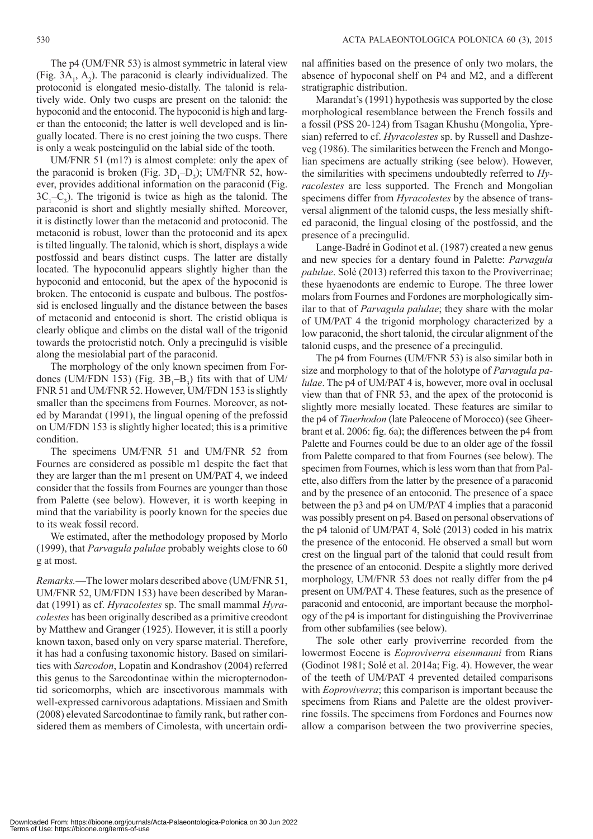The p4 (UM/FNR 53) is almost symmetric in lateral view (Fig.  $3A_1$ ,  $A_2$ ). The paraconid is clearly individualized. The protoconid is elongated mesio-distally. The talonid is relatively wide. Only two cusps are present on the talonid: the hypoconid and the entoconid. The hypoconid is high and larger than the entoconid; the latter is well developed and is lingually located. There is no crest joining the two cusps. There is only a weak postcingulid on the labial side of the tooth.

UM/FNR 51 (m1?) is almost complete: only the apex of the paraconid is broken (Fig.  $3D_1-D_3$ ); UM/FNR 52, however, provides additional information on the paraconid (Fig.  $3C_1-C_3$ ). The trigonid is twice as high as the talonid. The paraconid is short and slightly mesially shifted. Moreover, it is distinctly lower than the metaconid and protoconid. The metaconid is robust, lower than the protoconid and its apex is tilted lingually. The talonid, which is short, displays a wide postfossid and bears distinct cusps. The latter are distally located. The hypoconulid appears slightly higher than the hypoconid and entoconid, but the apex of the hypoconid is broken. The entoconid is cuspate and bulbous. The postfossid is enclosed lingually and the distance between the bases of metaconid and entoconid is short. The cristid obliqua is clearly oblique and climbs on the distal wall of the trigonid towards the protocristid notch. Only a precingulid is visible along the mesiolabial part of the paraconid.

The morphology of the only known specimen from Fordones (UM/FDN 153) (Fig.  $3B_1 - B_3$ ) fits with that of UM/ FNR 51 and UM/FNR 52. However, UM/FDN 153 is slightly smaller than the specimens from Fournes. Moreover, as noted by Marandat (1991), the lingual opening of the prefossid on UM/FDN 153 is slightly higher located; this is a primitive condition.

The specimens UM/FNR 51 and UM/FNR 52 from Fournes are considered as possible m1 despite the fact that they are larger than the m1 present on UM/PAT 4, we indeed consider that the fossils from Fournes are younger than those from Palette (see below). However, it is worth keeping in mind that the variability is poorly known for the species due to its weak fossil record.

We estimated, after the methodology proposed by Morlo (1999), that *Parvagula palulae* probably weights close to 60 g at most.

*Remarks.*—The lower molars described above (UM/FNR 51, UM/FNR 52, UM/FDN 153) have been described by Marandat (1991) as cf. *Hyracolestes* sp. The small mammal *Hyracolestes* has been originally described as a primitive creodont by Matthew and Granger (1925). However, it is still a poorly known taxon, based only on very sparse material. Therefore, it has had a confusing taxonomic history. Based on similarities with *Sarcodon*, Lopatin and Kondrashov (2004) referred this genus to the Sarcodontinae within the micropternodontid soricomorphs, which are insectivorous mammals with well-expressed carnivorous adaptations. Missiaen and Smith (2008) elevated Sarcodontinae to family rank, but rather considered them as members of Cimolesta, with uncertain ordinal affinities based on the presence of only two molars, the absence of hypoconal shelf on P4 and M2, and a different stratigraphic distribution.

Marandat's (1991) hypothesis was supported by the close morphological resemblance between the French fossils and a fossil (PSS 20-124) from Tsagan Khushu (Mongolia, Ypresian) referred to cf. *Hyracolestes* sp. by Russell and Dashzeveg (1986). The similarities between the French and Mongolian specimens are actually striking (see below). However, the similarities with specimens undoubtedly referred to *Hyracolestes* are less supported. The French and Mongolian specimens differ from *Hyracolestes* by the absence of transversal alignment of the talonid cusps, the less mesially shifted paraconid, the lingual closing of the postfossid, and the presence of a precingulid.

Lange-Badré in Godinot et al. (1987) created a new genus and new species for a dentary found in Palette: *Parvagula palulae*. Solé (2013) referred this taxon to the Proviverrinae; these hyaenodonts are endemic to Europe. The three lower molars from Fournes and Fordones are morphologically similar to that of *Parvagula palulae*; they share with the molar of UM/PAT 4 the trigonid morphology characterized by a low paraconid, the short talonid, the circular alignment of the talonid cusps, and the presence of a precingulid.

The p4 from Fournes (UM/FNR 53) is also similar both in size and morphology to that of the holotype of *Parvagula palulae*. The p4 of UM/PAT 4 is, however, more oval in occlusal view than that of FNR 53, and the apex of the protoconid is slightly more mesially located. These features are similar to the p4 of *Tinerhodon* (late Paleocene of Morocco) (see Gheerbrant et al. 2006: fig. 6a); the differences between the p4 from Palette and Fournes could be due to an older age of the fossil from Palette compared to that from Fournes (see below). The specimen from Fournes, which is less worn than that from Palette, also differs from the latter by the presence of a paraconid and by the presence of an entoconid. The presence of a space between the p3 and p4 on UM/PAT 4 implies that a paraconid was possibly present on p4. Based on personal observations of the p4 talonid of UM/PAT 4, Solé (2013) coded in his matrix the presence of the entoconid. He observed a small but worn crest on the lingual part of the talonid that could result from the presence of an entoconid. Despite a slightly more derived morphology, UM/FNR 53 does not really differ from the p4 present on UM/PAT 4. These features, such as the presence of paraconid and entoconid, are important because the morphology of the p4 is important for distinguishing the Proviverrinae from other subfamilies (see below).

The sole other early proviverrine recorded from the lowermost Eocene is *Eoproviverra eisenmanni* from Rians (Godinot 1981; Solé et al. 2014a; Fig. 4). However, the wear of the teeth of UM/PAT 4 prevented detailed comparisons with *Eoproviverra*; this comparison is important because the specimens from Rians and Palette are the oldest proviverrine fossils. The specimens from Fordones and Fournes now allow a comparison between the two proviverrine species,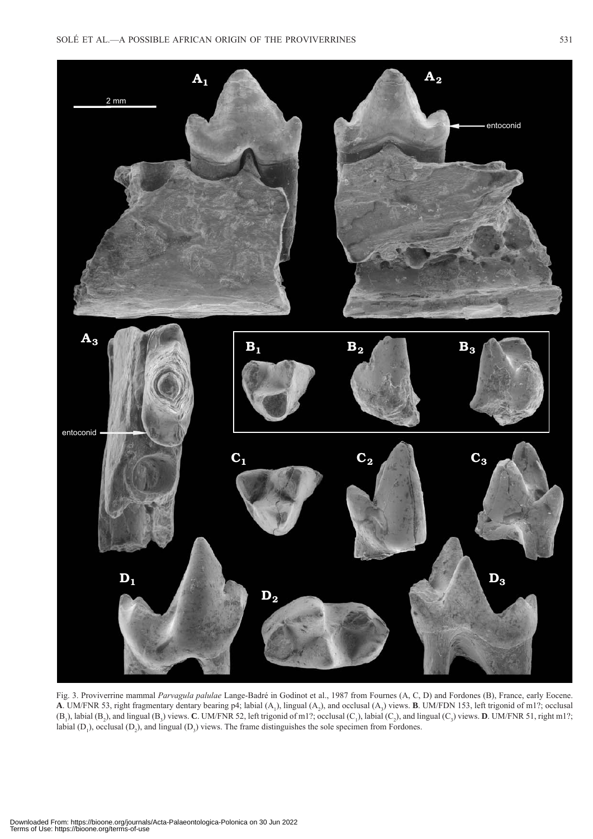

Fig. 3. Proviverrine mammal *Parvagula palulae* Lange-Badré in Godinot et al., 1987 from Fournes (A, C, D) and Fordones (B), France, early Eocene. **A**. UM/FNR 53, right fragmentary dentary bearing p4; labial  $(A_1)$ , lingual  $(A_2)$ , and occlusal  $(A_3)$  views. **B**. UM/FDN 153, left trigonid of m1?; occlusal  $(B_1)$ , labial  $(B_2)$ , and lingual  $(B_3)$  views. **C**. UM/FNR 52, left trigonid of m1?; occlusal  $(C_1)$ , labial  $(C_2)$ , and lingual  $(C_3)$  views. **D**. UM/FNR 51, right m1?; labial  $(D_1)$ , occlusal  $(D_2)$ , and lingual  $(D_3)$  views. The frame distinguishes the sole specimen from Fordones.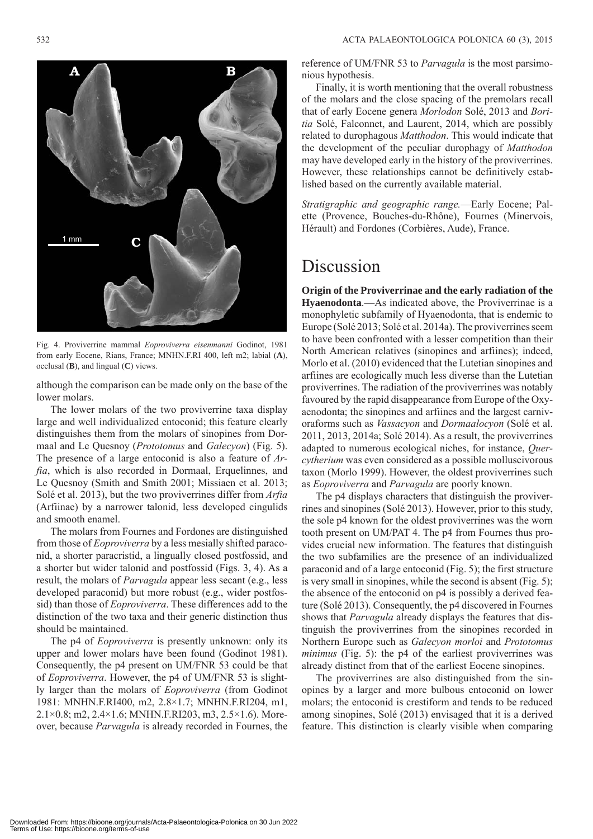

Fig. 4. Proviverrine mammal *Eoproviverra eisenmanni* Godinot, 1981 from early Eocene, Rians, France; MNHN.F.RI 400, left m2; labial (**A**), occlusal (**B**), and lingual (**C**) views.

although the comparison can be made only on the base of the lower molars.

The lower molars of the two proviverrine taxa display large and well individualized entoconid; this feature clearly distinguishes them from the molars of sinopines from Dormaal and Le Quesnoy (*Prototomus* and *Galecyon*) (Fig. 5). The presence of a large entoconid is also a feature of *Arfia*, which is also recorded in Dormaal, Erquelinnes, and Le Quesnoy (Smith and Smith 2001; Missiaen et al. 2013; Solé et al. 2013), but the two proviverrines differ from *Arfia* (Arfiinae) by a narrower talonid, less developed cingulids and smooth enamel.

The molars from Fournes and Fordones are distinguished from those of *Eoproviverra* by a less mesially shifted paraconid, a shorter paracristid, a lingually closed postfossid, and a shorter but wider talonid and postfossid (Figs. 3, 4). As a result, the molars of *Parvagula* appear less secant (e.g., less developed paraconid) but more robust (e.g., wider postfossid) than those of *Eoproviverra*. These differences add to the distinction of the two taxa and their generic distinction thus should be maintained.

The p4 of *Eoproviverra* is presently unknown: only its upper and lower molars have been found (Godinot 1981). Consequently, the p4 present on UM/FNR 53 could be that of *Eoproviverra*. However, the p4 of UM/FNR 53 is slightly larger than the molars of *Eoproviverra* (from Godinot 1981: MNHN.F.RI400, m2, 2.8×1.7; MNHN.F.RI204, m1, 2.1×0.8; m2, 2.4×1.6; MNHN.F.RI203, m3, 2.5×1.6). Moreover, because *Parvagula* is already recorded in Fournes, the reference of UM/FNR 53 to *Parvagula* is the most parsimonious hypothesis.

Finally, it is worth mentioning that the overall robustness of the molars and the close spacing of the premolars recall that of early Eocene genera *Morlodon* Solé, 2013 and *Boritia* Solé, Falconnet, and Laurent, 2014, which are possibly related to durophagous *Matthodon*. This would indicate that the development of the peculiar durophagy of *Matthodon* may have developed early in the history of the proviverrines. However, these relationships cannot be definitively established based on the currently available material.

*Stratigraphic and geographic range.*—Early Eocene; Palette (Provence, Bouches-du-Rhône), Fournes (Minervois, Hérault) and Fordones (Corbières, Aude), France.

## Discussion

**Origin of the Proviverrinae and the early radiation of the Hyaenodonta**.—As indicated above, the Proviverrinae is a monophyletic subfamily of Hyaenodonta, that is endemic to Europe (Solé 2013; Solé et al. 2014a). The proviverrines seem to have been confronted with a lesser competition than their North American relatives (sinopines and arfiines); indeed, Morlo et al. (2010) evidenced that the Lutetian sinopines and arfiines are ecologically much less diverse than the Lutetian proviverrines. The radiation of the proviverrines was notably favoured by the rapid disappearance from Europe of the Oxyaenodonta; the sinopines and arfiines and the largest carnivoraforms such as *Vassacyon* and *Dormaalocyon* (Solé et al. 2011, 2013, 2014a; Solé 2014). As a result, the proviverrines adapted to numerous ecological niches, for instance, *Quercytherium* was even considered as a possible molluscivorous taxon (Morlo 1999). However, the oldest proviverrines such as *Eoproviverra* and *Parvagula* are poorly known.

The p4 displays characters that distinguish the proviverrines and sinopines (Solé 2013). However, prior to this study, the sole p4 known for the oldest proviverrines was the worn tooth present on UM/PAT 4. The p4 from Fournes thus provides crucial new information. The features that distinguish the two subfamilies are the presence of an individualized paraconid and of a large entoconid (Fig. 5); the first structure is very small in sinopines, while the second is absent (Fig. 5); the absence of the entoconid on p4 is possibly a derived feature (Solé 2013). Consequently, the p4 discovered in Fournes shows that *Parvagula* already displays the features that distinguish the proviverrines from the sinopines recorded in Northern Europe such as *Galecyon morloi* and *Prototomus minimus* (Fig. 5): the p4 of the earliest proviverrines was already distinct from that of the earliest Eocene sinopines.

The proviverrines are also distinguished from the sinopines by a larger and more bulbous entoconid on lower molars; the entoconid is crestiform and tends to be reduced among sinopines, Solé (2013) envisaged that it is a derived feature. This distinction is clearly visible when comparing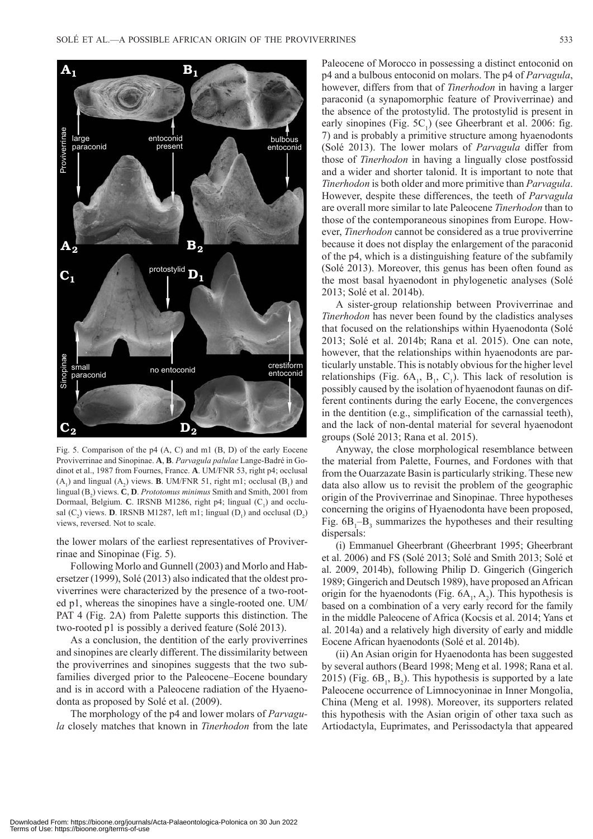

Fig. 5. Comparison of the p4 (A, C) and m1 (B, D) of the early Eocene Proviverrinae and Sinopinae. **A**, **B**. *Parvagula palulae* Lange-Badré in Godinot et al., 1987 from Fournes, France. **A**. UM/FNR 53, right p4; occlusal  $(A_1)$  and lingual  $(A_2)$  views. **B**. UM/FNR 51, right m1; occlusal  $(B_1)$  and lingual (B2 ) views. **C**, **D**. *Prototomus minimus* Smith and Smith, 2001 from Dormaal, Belgium. **C**. IRSNB M1286, right  $p4$ ; lingual  $(C_1)$  and occlusal  $(C_2)$  views. **D**. IRSNB M1287, left m1; lingual  $(D_1)$  and occlusal  $(D_2)$ views, reversed. Not to scale.

the lower molars of the earliest representatives of Proviverrinae and Sinopinae (Fig. 5).

Following Morlo and Gunnell (2003) and Morlo and Habersetzer (1999), Solé (2013) also indicated that the oldest proviverrines were characterized by the presence of a two-rooted p1, whereas the sinopines have a single-rooted one. UM/ PAT 4 (Fig. 2A) from Palette supports this distinction. The two-rooted p1 is possibly a derived feature (Solé 2013).

As a conclusion, the dentition of the early proviverrines and sinopines are clearly different. The dissimilarity between the proviverrines and sinopines suggests that the two subfamilies diverged prior to the Paleocene–Eocene boundary and is in accord with a Paleocene radiation of the Hyaenodonta as proposed by Solé et al. (2009).

The morphology of the p4 and lower molars of *Parvagula* closely matches that known in *Tinerhodon* from the late

Paleocene of Morocco in possessing a distinct entoconid on p4 and a bulbous entoconid on molars. The p4 of *Parvagula*, however, differs from that of *Tinerhodon* in having a larger paraconid (a synapomorphic feature of Proviverrinae) and the absence of the protostylid. The protostylid is present in early sinopines (Fig.  $5C_1$ ) (see Gheerbrant et al. 2006: fig. 7) and is probably a primitive structure among hyaenodonts (Solé 2013). The lower molars of *Parvagula* differ from those of *Tinerhodon* in having a lingually close postfossid and a wider and shorter talonid. It is important to note that *Tinerhodon* is both older and more primitive than *Parvagula*. However, despite these differences, the teeth of *Parvagula*  are overall more similar to late Paleocene *Tinerhodon* than to those of the contemporaneous sinopines from Europe. However, *Tinerhodon* cannot be considered as a true proviverrine because it does not display the enlargement of the paraconid of the p4, which is a distinguishing feature of the subfamily (Solé 2013). Moreover, this genus has been often found as the most basal hyaenodont in phylogenetic analyses (Solé 2013; Solé et al. 2014b).

A sister-group relationship between Proviverrinae and *Tinerhodon* has never been found by the cladistics analyses that focused on the relationships within Hyaenodonta (Solé 2013; Solé et al. 2014b; Rana et al. 2015). One can note, however, that the relationships within hyaenodonts are particularly unstable. This is notably obvious for the higher level relationships (Fig.  $6A_1$ ,  $B_1$ ,  $C_1$ ). This lack of resolution is possibly caused by the isolation of hyaenodont faunas on different continents during the early Eocene, the convergences in the dentition (e.g., simplification of the carnassial teeth), and the lack of non-dental material for several hyaenodont groups (Solé 2013; Rana et al. 2015).

Anyway, the close morphological resemblance between the material from Palette, Fournes, and Fordones with that from the Ouarzazate Basin is particularly striking. These new data also allow us to revisit the problem of the geographic origin of the Proviverrinae and Sinopinae. Three hypotheses concerning the origins of Hyaenodonta have been proposed, Fig.  $6B_1 - B_3$  summarizes the hypotheses and their resulting dispersals:

(i) Emmanuel Gheerbrant (Gheerbrant 1995; Gheerbrant et al. 2006) and FS (Solé 2013; Solé and Smith 2013; Solé et al. 2009, 2014b), following Philip D. Gingerich (Gingerich 1989; Gingerich and Deutsch 1989), have proposed an African origin for the hyaenodonts (Fig.  $6A_1$ ,  $A_2$ ). This hypothesis is based on a combination of a very early record for the family in the middle Paleocene of Africa (Kocsis et al. 2014; Yans et al. 2014a) and a relatively high diversity of early and middle Eocene African hyaenodonts (Solé et al. 2014b).

(ii) An Asian origin for Hyaenodonta has been suggested by several authors (Beard 1998; Meng et al. 1998; Rana et al. 2015) (Fig.  $6B_1$ ,  $B_2$ ). This hypothesis is supported by a late Paleocene occurrence of Limnocyoninae in Inner Mongolia, China (Meng et al. 1998). Moreover, its supporters related this hypothesis with the Asian origin of other taxa such as Artiodactyla, Euprimates, and Perissodactyla that appeared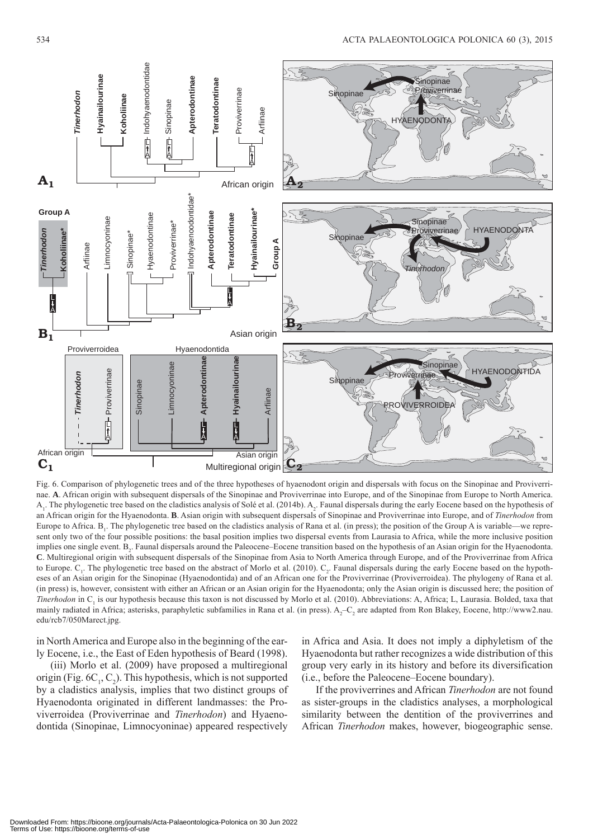

Fig. 6. Comparison of phylogenetic trees and of the three hypotheses of hyaenodont origin and dispersals with focus on the Sinopinae and Proviverrinae. **A**. African origin with subsequent dispersals of the Sinopinae and Proviverrinae into Europe, and of the Sinopinae from Europe to North America.  $A_1$ . The phylogenetic tree based on the cladistics analysis of Solé et al. (2014b).  $A_2$ . Faunal dispersals during the early Eocene based on the hypothesis of an African origin for the Hyaenodonta. **B**. Asian origin with subsequent dispersals of Sinopinae and Proviverrinae into Europe, and of *Tinerhodon* from Europe to Africa.  $B_1$ . The phylogenetic tree based on the cladistics analysis of Rana et al. (in press); the position of the Group A is variable—we represent only two of the four possible positions: the basal position implies two dispersal events from Laurasia to Africa, while the more inclusive position implies one single event. B<sub>2</sub>. Faunal dispersals around the Paleocene–Eocene transition based on the hypothesis of an Asian origin for the Hyaenodonta. **C**. Multiregional origin with subsequent dispersals of the Sinopinae from Asia to North America through Europe, and of the Proviverrinae from Africa to Europe.  $C_1$ . The phylogenetic tree based on the abstract of Morlo et al. (2010).  $C_2$ . Faunal dispersals during the early Eocene based on the hypotheses of an Asian origin for the Sinopinae (Hyaenodontida) and of an African one for the Proviverrinae (Proviverroidea). The phylogeny of Rana et al. (in press) is, however, consistent with either an African or an Asian origin for the Hyaenodonta; only the Asian origin is discussed here; the position of *Tinerhodon* in  $C_1$  is our hypothesis because this taxon is not discussed by Morlo et al. (2010). Abbreviations: A, Africa; L, Laurasia. Bolded, taxa that mainly radiated in Africa; asterisks, paraphyletic subfamilies in Rana et al. (in press).  $A_2 - C_2$  are adapted from Ron Blakey, Eocene, http://www2.nau. edu/rcb7/050Marect.jpg.

in North America and Europe also in the beginning of the early Eocene, i.e., the East of Eden hypothesis of Beard (1998).

(iii) Morlo et al. (2009) have proposed a multiregional origin (Fig.  $6C_1$ ,  $C_2$ ). This hypothesis, which is not supported by a cladistics analysis, implies that two distinct groups of Hyaenodonta originated in different landmasses: the Proviverroidea (Proviverrinae and *Tinerhodon*) and Hyaenodontida (Sinopinae, Limnocyoninae) appeared respectively

in Africa and Asia. It does not imply a diphyletism of the Hyaenodonta but rather recognizes a wide distribution of this group very early in its history and before its diversification (i.e., before the Paleocene–Eocene boundary).

If the proviverrines and African *Tinerhodon* are not found as sister-groups in the cladistics analyses, a morphological similarity between the dentition of the proviverrines and African *Tinerhodon* makes, however, biogeographic sense.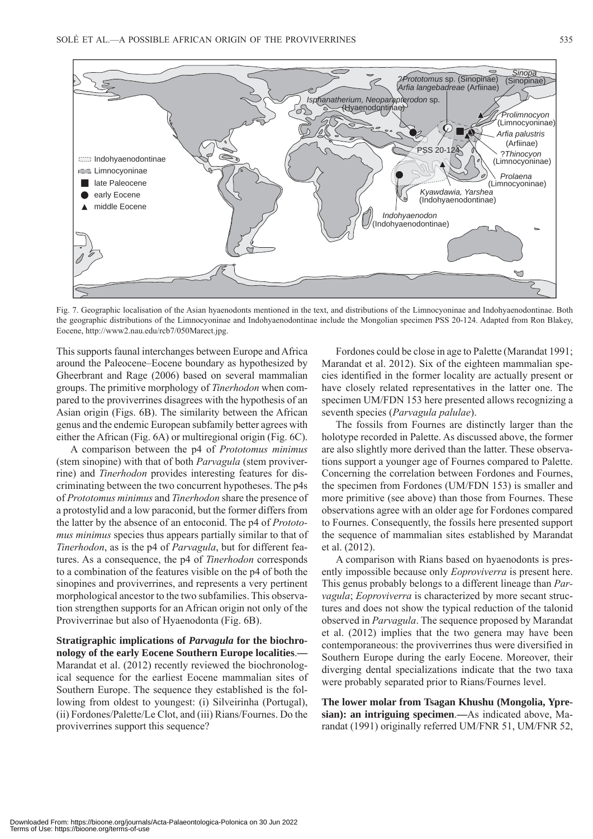

Fig. 7. Geographic localisation of the Asian hyaenodonts mentioned in the text, and distributions of the Limnocyoninae and Indohyaenodontinae. Both the geographic distributions of the Limnocyoninae and Indohyaenodontinae include the Mongolian specimen PSS 20-124. Adapted from Ron Blakey, Eocene, http://www2.nau.edu/rcb7/050Marect.jpg.

This supports faunal interchanges between Europe and Africa around the Paleocene–Eocene boundary as hypothesized by Gheerbrant and Rage (2006) based on several mammalian groups. The primitive morphology of *Tinerhodon* when compared to the proviverrines disagrees with the hypothesis of an Asian origin (Figs. 6B). The similarity between the African genus and the endemic European subfamily better agrees with either the African (Fig. 6A) or multiregional origin (Fig. 6C).

A comparison between the p4 of *Prototomus minimus* (stem sinopine) with that of both *Parvagula* (stem proviverrine) and *Tinerhodon* provides interesting features for discriminating between the two concurrent hypotheses. The p4s of *Prototomus minimus* and *Tinerhodon* share the presence of a protostylid and a low paraconid, but the former differs from the latter by the absence of an entoconid. The p4 of *Prototomus minimus* species thus appears partially similar to that of *Tinerhodon*, as is the p4 of *Parvagula*, but for different features. As a consequence, the p4 of *Tinerhodon* corresponds to a combination of the features visible on the p4 of both the sinopines and proviverrines, and represents a very pertinent morphological ancestor to the two subfamilies. This observation strengthen supports for an African origin not only of the Proviverrinae but also of Hyaenodonta (Fig. 6B).

**Stratigraphic implications of** *Parvagula* **for the biochronology of the early Eocene Southern Europe localities**.**—** Marandat et al. (2012) recently reviewed the biochronological sequence for the earliest Eocene mammalian sites of Southern Europe. The sequence they established is the following from oldest to youngest: (i) Silveirinha (Portugal), (ii) Fordones/Palette/Le Clot, and (iii) Rians/Fournes. Do the proviverrines support this sequence?

Fordones could be close in age to Palette (Marandat 1991; Marandat et al. 2012). Six of the eighteen mammalian species identified in the former locality are actually present or have closely related representatives in the latter one. The specimen UM/FDN 153 here presented allows recognizing a seventh species (*Parvagula palulae*).

The fossils from Fournes are distinctly larger than the holotype recorded in Palette. As discussed above, the former are also slightly more derived than the latter. These observations support a younger age of Fournes compared to Palette. Concerning the correlation between Fordones and Fournes, the specimen from Fordones (UM/FDN 153) is smaller and more primitive (see above) than those from Fournes. These observations agree with an older age for Fordones compared to Fournes. Consequently, the fossils here presented support the sequence of mammalian sites established by Marandat et al. (2012).

A comparison with Rians based on hyaenodonts is presently impossible because only *Eoproviverra* is present here. This genus probably belongs to a different lineage than *Parvagula*; *Eoproviverra* is characterized by more secant structures and does not show the typical reduction of the talonid observed in *Parvagula*. The sequence proposed by Marandat et al. (2012) implies that the two genera may have been contemporaneous: the proviverrines thus were diversified in Southern Europe during the early Eocene. Moreover, their diverging dental specializations indicate that the two taxa were probably separated prior to Rians/Fournes level.

**The lower molar from Tsagan Khushu (Mongolia, Ypresian): an intriguing specimen**.**—**As indicated above, Marandat (1991) originally referred UM/FNR 51, UM/FNR 52,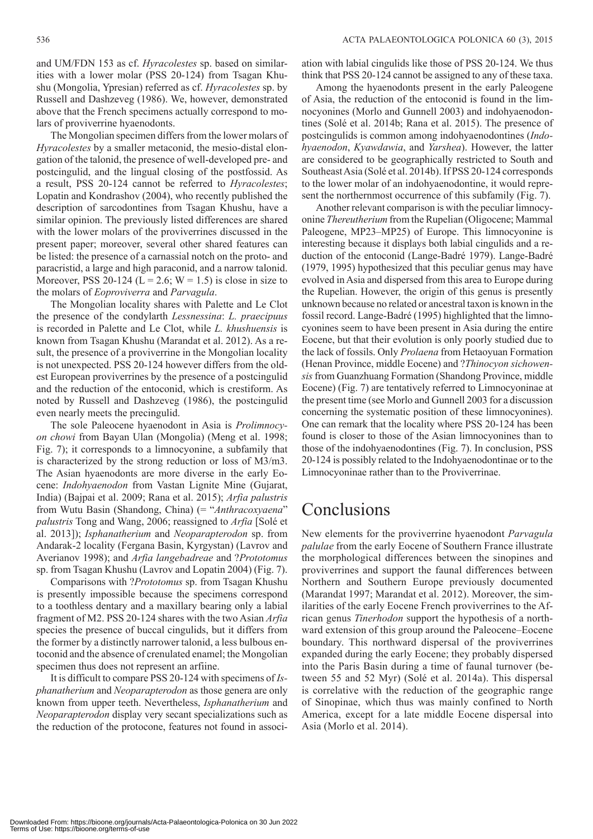and UM/FDN 153 as cf. *Hyracolestes* sp. based on similarities with a lower molar (PSS 20-124) from Tsagan Khushu (Mongolia, Ypresian) referred as cf. *Hyracolestes* sp. by Russell and Dashzeveg (1986). We, however, demonstrated above that the French specimens actually correspond to molars of proviverrine hyaenodonts.

The Mongolian specimen differs from the lower molars of *Hyracolestes* by a smaller metaconid, the mesio-distal elongation of the talonid, the presence of well-developed pre- and postcingulid, and the lingual closing of the postfossid. As a result, PSS 20-124 cannot be referred to *Hyracolestes*; Lopatin and Kondrashov (2004), who recently published the description of sarcodontines from Tsagan Khushu, have a similar opinion. The previously listed differences are shared with the lower molars of the proviverrines discussed in the present paper; moreover, several other shared features can be listed: the presence of a carnassial notch on the proto- and paracristid, a large and high paraconid, and a narrow talonid. Moreover, PSS 20-124 ( $L = 2.6$ ;  $W = 1.5$ ) is close in size to the molars of *Eoproviverra* and *Parvagula*.

The Mongolian locality shares with Palette and Le Clot the presence of the condylarth *Lessnessina*: *L. praecipuus*  is recorded in Palette and Le Clot, while *L. khushuensis* is known from Tsagan Khushu (Marandat et al. 2012). As a result, the presence of a proviverrine in the Mongolian locality is not unexpected. PSS 20-124 however differs from the oldest European proviverrines by the presence of a postcingulid and the reduction of the entoconid, which is crestiform. As noted by Russell and Dashzeveg (1986), the postcingulid even nearly meets the precingulid.

The sole Paleocene hyaenodont in Asia is *Prolimnocyon chowi* from Bayan Ulan (Mongolia) (Meng et al. 1998; Fig. 7); it corresponds to a limnocyonine, a subfamily that is characterized by the strong reduction or loss of M3/m3. The Asian hyaenodonts are more diverse in the early Eocene: *Indohyaenodon* from Vastan Lignite Mine (Gujarat, India) (Bajpai et al. 2009; Rana et al. 2015); *Arfia palustris*  from Wutu Basin (Shandong, China) (= "*Anthracoxyaena*" *palustris* Tong and Wang, 2006; reassigned to *Arfia* [Solé et al. 2013]); *Isphanatherium* and *Neoparapterodon* sp. from Andarak-2 locality (Fergana Basin, Kyrgystan) (Lavrov and Averianov 1998); and *Arfia langebadreae* and ?*Prototomus* sp. from Tsagan Khushu (Lavrov and Lopatin 2004) (Fig. 7).

Comparisons with ?*Prototomus* sp. from Tsagan Khushu is presently impossible because the specimens correspond to a toothless dentary and a maxillary bearing only a labial fragment of M2. PSS 20-124 shares with the two Asian *Arfia*  species the presence of buccal cingulids, but it differs from the former by a distinctly narrower talonid, a less bulbous entoconid and the absence of crenulated enamel; the Mongolian specimen thus does not represent an arfiine.

It is difficult to compare PSS 20-124 with specimens of *Isphanatherium* and *Neoparapterodon* as those genera are only known from upper teeth. Nevertheless, *Isphanatherium* and *Neoparapterodon* display very secant specializations such as the reduction of the protocone, features not found in association with labial cingulids like those of PSS 20-124. We thus think that PSS 20-124 cannot be assigned to any of these taxa.

Among the hyaenodonts present in the early Paleogene of Asia, the reduction of the entoconid is found in the limnocyonines (Morlo and Gunnell 2003) and indohyaenodontines (Solé et al. 2014b; Rana et al. 2015). The presence of postcingulids is common among indohyaenodontines (*Indohyaenodon*, *Kyawdawia*, and *Yarshea*). However, the latter are considered to be geographically restricted to South and Southeast Asia (Solé et al. 2014b). If PSS 20-124 corresponds to the lower molar of an indohyaenodontine, it would represent the northernmost occurrence of this subfamily (Fig. 7).

Another relevant comparison is with the peculiar limnocyonine *Thereutherium* from the Rupelian (Oligocene; Mammal Paleogene, MP23–MP25) of Europe. This limnocyonine is interesting because it displays both labial cingulids and a reduction of the entoconid (Lange-Badré 1979). Lange-Badré (1979, 1995) hypothesized that this peculiar genus may have evolved in Asia and dispersed from this area to Europe during the Rupelian. However, the origin of this genus is presently unknown because no related or ancestral taxon is known in the fossil record. Lange-Badré (1995) highlighted that the limnocyonines seem to have been present in Asia during the entire Eocene, but that their evolution is only poorly studied due to the lack of fossils. Only *Prolaena* from Hetaoyuan Formation (Henan Province, middle Eocene) and ?*Thinocyon sichowensis* from Guanzhuang Formation (Shandong Province, middle Eocene) (Fig. 7) are tentatively referred to Limnocyoninae at the present time (see Morlo and Gunnell 2003 for a discussion concerning the systematic position of these limnocyonines). One can remark that the locality where PSS 20-124 has been found is closer to those of the Asian limnocyonines than to those of the indohyaenodontines (Fig. 7). In conclusion, PSS 20-124 is possibly related to the Indohyaenodontinae or to the Limnocyoninae rather than to the Proviverrinae.

### Conclusions

New elements for the proviverrine hyaenodont *Parvagula palulae* from the early Eocene of Southern France illustrate the morphological differences between the sinopines and proviverrines and support the faunal differences between Northern and Southern Europe previously documented (Marandat 1997; Marandat et al. 2012). Moreover, the similarities of the early Eocene French proviverrines to the African genus *Tinerhodon* support the hypothesis of a northward extension of this group around the Paleocene–Eocene boundary. This northward dispersal of the proviverrines expanded during the early Eocene; they probably dispersed into the Paris Basin during a time of faunal turnover (between 55 and 52 Myr) (Solé et al. 2014a). This dispersal is correlative with the reduction of the geographic range of Sinopinae, which thus was mainly confined to North America, except for a late middle Eocene dispersal into Asia (Morlo et al. 2014).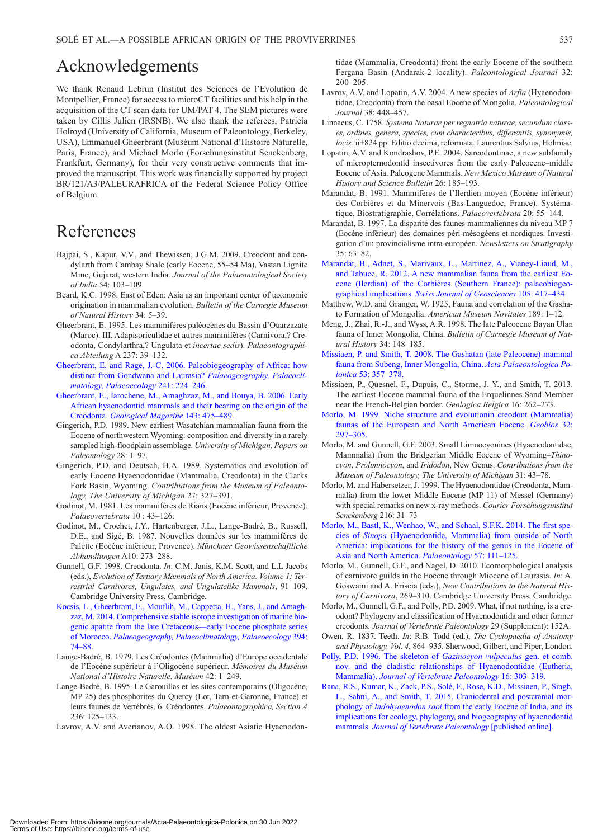## Acknowledgements

We thank Renaud Lebrun (Institut des Sciences de l'Evolution de Montpellier, France) for access to microCT facilities and his help in the acquisition of the CT scan data for UM/PAT 4. The SEM pictures were taken by Cillis Julien (IRSNB). We also thank the referees, Patricia Holroyd (University of California, Museum of Paleontology, Berkeley, USA), Emmanuel Gheerbrant (Muséum National d'Histoire Naturelle, Paris, France), and Michael Morlo (Forschungsinstitut Senckenberg, Frankfurt, Germany), for their very constructive comments that improved the manuscript. This work was financially supported by project BR/121/A3/PALEURAFRICA of the Federal Science Policy Office of Belgium.

### References

- Bajpai, S., Kapur, V.V., and Thewissen, J.G.M. 2009. Creodont and condylarth from Cambay Shale (early Eocene, 55–54 Ma), Vastan Lignite Mine, Gujarat, western India. *Journal of the Palaeontological Society of India* 54: 103–109.
- Beard, K.C. 1998. East of Eden: Asia as an important center of taxonomic origination in mammalian evolution. *Bulletin of the Carnegie Museum of Natural History* 34: 5–39.
- Gheerbrant, E. 1995. Les mammifères paléocènes du Bassin d'Ouarzazate (Maroc). III. Adapisoriculidae et autres mammifères (Carnivora,? Creodonta, Condylarthra,? Ungulata et *incertae sedis*). *Palaeontographica Abteilung* A 237: 39–132.
- [Gheerbrant, E. and Rage, J.-C. 2006. Paleobiogeography of Africa: how](http://dx.doi.org/10.1016/j.palaeo.2006.03.016)  distinct from Gondwana and Laurasia? *Palaeogeography, Palaeoclimatology, Palaeoecology* 241: 224–246.
- [Gheerbrant, E., Iarochene, M., Amaghzaz, M., and Bouya, B. 2006. Early](http://dx.doi.org/10.1017/S0016756806002032)  African hyaenodontid mammals and their bearing on the origin of the Creodonta. *Geological Magazine* 143: 475–489.
- Gingerich, P.D. 1989. New earliest Wasatchian mammalian fauna from the Eocene of northwestern Wyoming: composition and diversity in a rarely sampled high-floodplain assemblage. *University of Michigan, Papers on Paleontology* 28: 1–97.
- Gingerich, P.D. and Deutsch, H.A. 1989. Systematics and evolution of early Eocene Hyaenodontidae (Mammalia, Creodonta) in the Clarks Fork Basin, Wyoming. *Contributions from the Museum of Paleontology, The University of Michigan* 27: 327–391.
- Godinot, M. 1981. Les mammifères de Rians (Eocène inférieur, Provence). *Palaeovertebrata* 10 : 43–126.
- Godinot, M., Crochet, J.Y., Hartenberger, J.L., Lange-Badré, B., Russell, D.E., and Sigé, B. 1987. Nouvelles données sur les mammifères de Palette (Eocène inférieur, Provence). *Münchner Geowissenschaftliche Abhandlungen* A10: 273–288.
- Gunnell, G.F. 1998. Creodonta. *In*: C.M. Janis, K.M. Scott, and L.L Jacobs (eds.), *Evolution of Tertiary Mammals of North America. Volume 1: Terrestrial Carnivores, Ungulates, and Ungulatelike Mammals*, 91–109. Cambridge University Press, Cambridge.
- [Kocsis, L., Gheerbrant, E., Mouflih, M., Cappetta, H., Yans, J., and Amagh](http://dx.doi.org/10.1016/j.palaeo.2013.11.002)zaz, M. 2014. Comprehensive stable isotope investigation of marine biogenic apatite from the late Cretaceous—early Eocene phosphate series of Morocco. *Palaeogeography, Palaeoclimatology, Palaeoecology* 394: 74–88.
- Lange-Badré, B. 1979. Les Créodontes (Mammalia) d'Europe occidentale de l'Eocène supérieur à l'Oligocène supérieur. *Mémoires du Muséum National d'Histoire Naturelle. Muséum* 42: 1–249.
- Lange-Badré, B. 1995. Le Garouillas et les sites contemporains (Oligocène, MP 25) des phosphorites du Quercy (Lot, Tarn-et-Garonne, France) et leurs faunes de Vertébrés. 6. Créodontes. *Palaeontographica, Section A* 236: 125–133.
- Lavrov, A.V. and Averianov, A.O. 1998. The oldest Asiatic Hyaenodon-

tidae (Mammalia, Creodonta) from the early Eocene of the southern Fergana Basin (Andarak-2 locality). *Paleontological Journal* 32: 200–205.

- Lavrov, A.V. and Lopatin, A.V. 2004. A new species of *Arfia* (Hyaenodontidae, Creodonta) from the basal Eocene of Mongolia. *Paleontological Journal* 38: 448–457.
- Linnaeus, C. 1758. *Systema Naturae per regnatria naturae, secundum classes, ordines, genera, species, cum characteribus, differentiis, synonymis, locis.* ii+824 pp. Editio decima, reformata. Laurentius Salvius, Holmiae.
- Lopatin, A.V. and Kondrashov, P.E. 2004. Sarcodontinae, a new subfamily of micropternodontid insectivores from the early Paleocene–middle Eocene of Asia. Paleogene Mammals. *New Mexico Museum of Natural History and Science Bulletin* 26: 185–193.
- Marandat, B. 1991. Mammifères de l'Ilerdien moyen (Eocène inférieur) des Corbières et du Minervois (Bas-Languedoc, France). Systématique, Biostratigraphie, Corrélations. *Palaeovertebrata* 20: 55–144.
- Marandat, B. 1997. La disparité des faunes mammaliennes du niveau MP 7 (Eocène inférieur) des domaines péri-mésogéens et nordiques. Investigation d'un provincialisme intra-européen. *Newsletters on Stratigraphy* 35: 63–82.
- [Marandat, B., Adnet, S., Marivaux, L., Martinez, A., Vianey-Liaud, M.,](http://dx.doi.org/10.1007/s00015-012-0113-5) and Tabuce, R. 2012. A new mammalian fauna from the earliest Eocene (Ilerdian) of the Corbières (Southern France): palaeobiogeographical implications. *Swiss Journal of Geosciences* 105: 417–434.
- Matthew, W.D. and Granger, W. 1925, Fauna and correlation of the Gashato Formation of Mongolia. *American Museum Novitates* 189: 1–12.
- Meng, J., Zhai, R.-J., and Wyss, A.R. 1998. The late Paleocene Bayan Ulan fauna of Inner Mongolia, China. *Bulletin of Carnegie Museum of Natural History* 34: 148–185.
- [Missiaen, P. and Smith, T. 2008. The Gashatan \(late Paleocene\) mammal](http://dx.doi.org/10.4202/app.2008.0301) fauna from Subeng, Inner Mongolia, China. *Acta Palaeontologica Polonica* 53: 357–378.
- Missiaen, P., Quesnel, F., Dupuis, C., Storme, J.-Y., and Smith, T. 2013. The earliest Eocene mammal fauna of the Erquelinnes Sand Member near the French-Belgian border. *Geologica Belgica* 16: 262–273.
- [Morlo, M. 1999. Niche structure and evolutionin creodont \(Mammalia\)](http://dx.doi.org/10.1016/S0016-6995%2899%2980043-6) faunas of the European and North American Eocene. *Geobios* 32: 297–305.
- Morlo, M. and Gunnell, G.F. 2003. Small Limnocyonines (Hyaenodontidae, Mammalia) from the Bridgerian Middle Eocene of Wyoming–*Thinocyon*, *Prolimnocyon*, and *Iridodon*, New Genus. *Contributions from the Museum of Paleontology, The University of Michigan* 31: 43–78.
- Morlo, M. and Habersetzer, J. 1999. The Hyaenodontidae (Creodonta, Mammalia) from the lower Middle Eocene (MP 11) of Messel (Germany) with special remarks on new x-ray methods. *Courier Forschungsinstitut Senckenberg* 216: 31–73
- [Morlo, M., Bastl, K., Wenhao, W., and Schaal, S.F.K. 2014. The first spe](http://dx.doi.org/10.1111/pala.12052)cies of *Sinopa* (Hyaenodontida, Mammalia) from outside of North America: implications for the history of the genus in the Eocene of Asia and North America. *Palaeontology* 57: 111–125.
- Morlo, M., Gunnell, G.F., and Nagel, D. 2010. Ecomorphological analysis of carnivore guilds in the Eocene through Miocene of Laurasia. *In*: A. Goswami and A. Friscia (eds.), *New Contributions to the Natural History of Carnivora*, 269–310. Cambridge University Press, Cambridge.
- Morlo, M., Gunnell, G.F., and Polly, P.D. 2009. What, if not nothing, is a creodont? Phylogeny and classification of Hyaenodontida and other former creodonts. *Journal of Vertebrate Paleontology* 29 (Supplement): 152A.
- Owen, R. 1837. Teeth. *In*: R.B. Todd (ed.), *The Cyclopaedia of Anatomy and Physiology, Vol. 4*, 864–935. Sherwood, Gilbert, and Piper, London.
- Polly, P.D. 1996. The skeleton of *Gazinocyon vulpeculus* gen. et comb. [nov. and the cladistic relationships of Hyaenodontidae \(Eutheria,](http://dx.doi.org/10.1080/02724634.1996.10011318) Mammalia). *Journal of Vertebrate Paleontology* 16: 303–319.
- [Rana, R.S., Kumar, K., Zack, P.S., Solé, F., Rose, K.D., Missiaen, P., Singh,](http://dx.doi.org/10.1080/02724634.2015.965308) L., Sahni, A., and Smith, T. 2015. Craniodental and postcranial morphology of *Indohyaenodon raoi* from the early Eocene of India, and its implications for ecology, phylogeny, and biogeography of hyaenodontid mammals. *Journal of Vertebrate Paleontology* [published online].